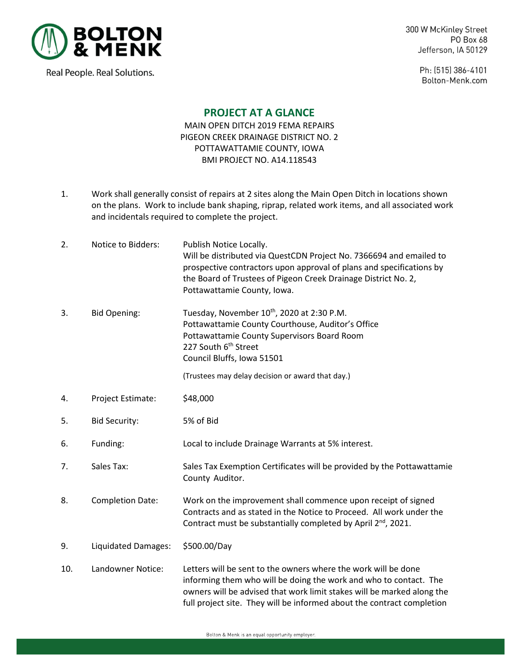

Real People. Real Solutions.

300 W McKinley Street PO Box 68 Jefferson, IA 50129

> Ph: (515) 386-4101 Bolton-Menk.com

## **PROJECT AT A GLANCE**

MAIN OPEN DITCH 2019 FEMA REPAIRS PIGEON CREEK DRAINAGE DISTRICT NO. 2 POTTAWATTAMIE COUNTY, IOWA BMI PROJECT NO. A14.118543

1. Work shall generally consist of repairs at 2 sites along the Main Open Ditch in locations shown on the plans. Work to include bank shaping, riprap, related work items, and all associated work and incidentals required to complete the project.

| 2.  | Notice to Bidders:         | Publish Notice Locally.<br>Will be distributed via QuestCDN Project No. 7366694 and emailed to<br>prospective contractors upon approval of plans and specifications by<br>the Board of Trustees of Pigeon Creek Drainage District No. 2,<br>Pottawattamie County, Iowa.                 |
|-----|----------------------------|-----------------------------------------------------------------------------------------------------------------------------------------------------------------------------------------------------------------------------------------------------------------------------------------|
| 3.  | <b>Bid Opening:</b>        | Tuesday, November 10th, 2020 at 2:30 P.M.<br>Pottawattamie County Courthouse, Auditor's Office<br>Pottawattamie County Supervisors Board Room<br>227 South 6 <sup>th</sup> Street<br>Council Bluffs, Iowa 51501<br>(Trustees may delay decision or award that day.)                     |
| 4.  | Project Estimate:          | \$48,000                                                                                                                                                                                                                                                                                |
|     |                            |                                                                                                                                                                                                                                                                                         |
| 5.  | <b>Bid Security:</b>       | 5% of Bid                                                                                                                                                                                                                                                                               |
| 6.  | Funding:                   | Local to include Drainage Warrants at 5% interest.                                                                                                                                                                                                                                      |
| 7.  | Sales Tax:                 | Sales Tax Exemption Certificates will be provided by the Pottawattamie<br>County Auditor.                                                                                                                                                                                               |
| 8.  | <b>Completion Date:</b>    | Work on the improvement shall commence upon receipt of signed<br>Contracts and as stated in the Notice to Proceed. All work under the<br>Contract must be substantially completed by April 2 <sup>nd</sup> , 2021.                                                                      |
| 9.  | <b>Liquidated Damages:</b> | \$500.00/Day                                                                                                                                                                                                                                                                            |
| 10. | Landowner Notice:          | Letters will be sent to the owners where the work will be done<br>informing them who will be doing the work and who to contact. The<br>owners will be advised that work limit stakes will be marked along the<br>full project site. They will be informed about the contract completion |